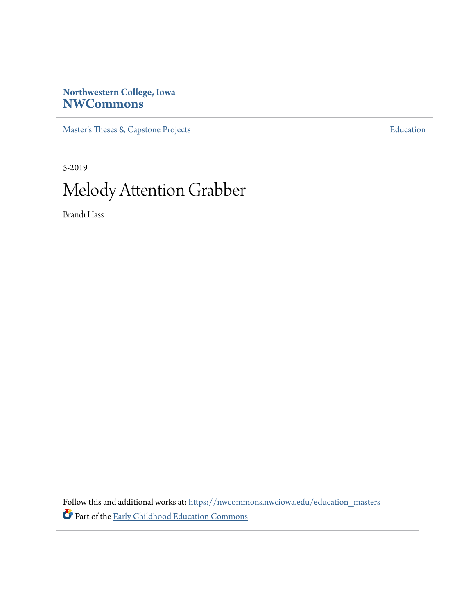# **Northwestern College, Iowa [NWCommons](https://nwcommons.nwciowa.edu?utm_source=nwcommons.nwciowa.edu%2Feducation_masters%2F138&utm_medium=PDF&utm_campaign=PDFCoverPages)**

[Master's Theses & Capstone Projects](https://nwcommons.nwciowa.edu/education_masters?utm_source=nwcommons.nwciowa.edu%2Feducation_masters%2F138&utm_medium=PDF&utm_campaign=PDFCoverPages) **[Education](https://nwcommons.nwciowa.edu/education?utm_source=nwcommons.nwciowa.edu%2Feducation_masters%2F138&utm_medium=PDF&utm_campaign=PDFCoverPages)** 

5-2019 Melody Attention Grabber

Brandi Hass

Follow this and additional works at: [https://nwcommons.nwciowa.edu/education\\_masters](https://nwcommons.nwciowa.edu/education_masters?utm_source=nwcommons.nwciowa.edu%2Feducation_masters%2F138&utm_medium=PDF&utm_campaign=PDFCoverPages) Part of the [Early Childhood Education Commons](http://network.bepress.com/hgg/discipline/1377?utm_source=nwcommons.nwciowa.edu%2Feducation_masters%2F138&utm_medium=PDF&utm_campaign=PDFCoverPages)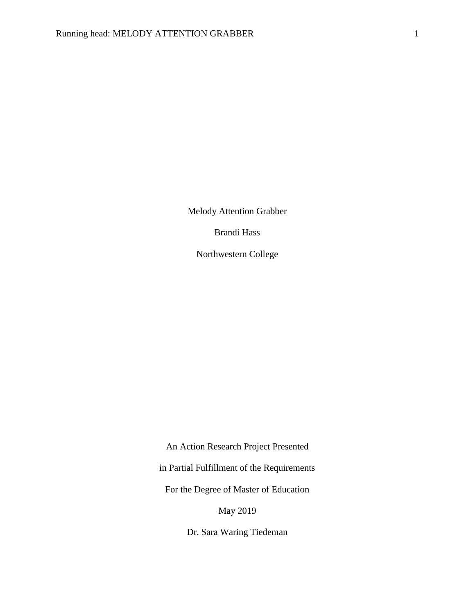Melody Attention Grabber

Brandi Hass

Northwestern College

An Action Research Project Presented in Partial Fulfillment of the Requirements For the Degree of Master of Education May 2019

Dr. Sara Waring Tiedeman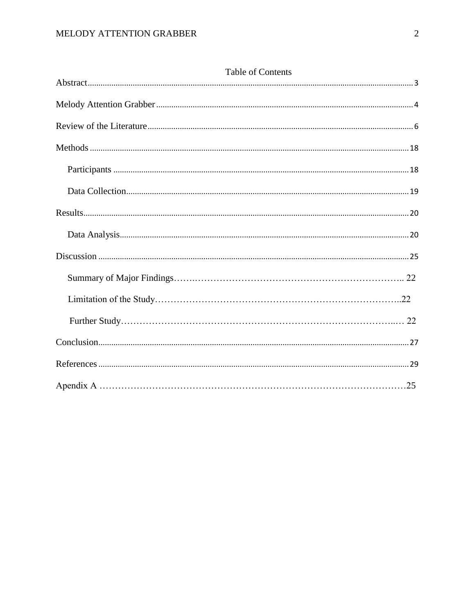| Table of Contents |  |
|-------------------|--|
|                   |  |
|                   |  |
|                   |  |
|                   |  |
|                   |  |
|                   |  |
|                   |  |
|                   |  |
|                   |  |
|                   |  |
|                   |  |
|                   |  |
|                   |  |
|                   |  |
|                   |  |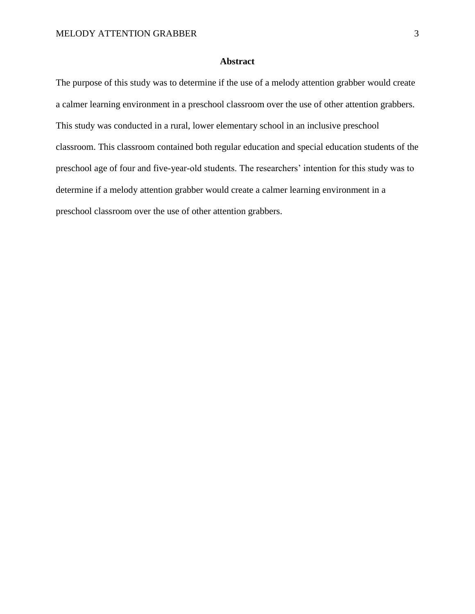## **Abstract**

<span id="page-3-0"></span>The purpose of this study was to determine if the use of a melody attention grabber would create a calmer learning environment in a preschool classroom over the use of other attention grabbers. This study was conducted in a rural, lower elementary school in an inclusive preschool classroom. This classroom contained both regular education and special education students of the preschool age of four and five-year-old students. The researchers' intention for this study was to determine if a melody attention grabber would create a calmer learning environment in a preschool classroom over the use of other attention grabbers.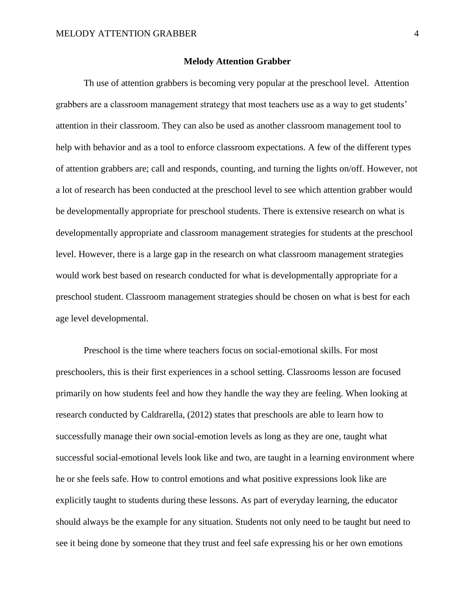#### **Melody Attention Grabber**

<span id="page-4-0"></span>Th use of attention grabbers is becoming very popular at the preschool level. Attention grabbers are a classroom management strategy that most teachers use as a way to get students' attention in their classroom. They can also be used as another classroom management tool to help with behavior and as a tool to enforce classroom expectations. A few of the different types of attention grabbers are; call and responds, counting, and turning the lights on/off. However, not a lot of research has been conducted at the preschool level to see which attention grabber would be developmentally appropriate for preschool students. There is extensive research on what is developmentally appropriate and classroom management strategies for students at the preschool level. However, there is a large gap in the research on what classroom management strategies would work best based on research conducted for what is developmentally appropriate for a preschool student. Classroom management strategies should be chosen on what is best for each age level developmental.

Preschool is the time where teachers focus on social-emotional skills. For most preschoolers, this is their first experiences in a school setting. Classrooms lesson are focused primarily on how students feel and how they handle the way they are feeling. When looking at research conducted by Caldrarella, (2012) states that preschools are able to learn how to successfully manage their own social-emotion levels as long as they are one, taught what successful social-emotional levels look like and two, are taught in a learning environment where he or she feels safe. How to control emotions and what positive expressions look like are explicitly taught to students during these lessons. As part of everyday learning, the educator should always be the example for any situation. Students not only need to be taught but need to see it being done by someone that they trust and feel safe expressing his or her own emotions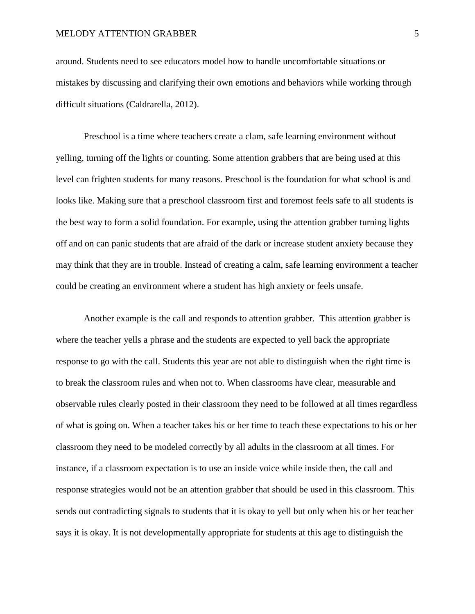around. Students need to see educators model how to handle uncomfortable situations or mistakes by discussing and clarifying their own emotions and behaviors while working through difficult situations (Caldrarella, 2012).

Preschool is a time where teachers create a clam, safe learning environment without yelling, turning off the lights or counting. Some attention grabbers that are being used at this level can frighten students for many reasons. Preschool is the foundation for what school is and looks like. Making sure that a preschool classroom first and foremost feels safe to all students is the best way to form a solid foundation. For example, using the attention grabber turning lights off and on can panic students that are afraid of the dark or increase student anxiety because they may think that they are in trouble. Instead of creating a calm, safe learning environment a teacher could be creating an environment where a student has high anxiety or feels unsafe.

Another example is the call and responds to attention grabber. This attention grabber is where the teacher yells a phrase and the students are expected to yell back the appropriate response to go with the call. Students this year are not able to distinguish when the right time is to break the classroom rules and when not to. When classrooms have clear, measurable and observable rules clearly posted in their classroom they need to be followed at all times regardless of what is going on. When a teacher takes his or her time to teach these expectations to his or her classroom they need to be modeled correctly by all adults in the classroom at all times. For instance, if a classroom expectation is to use an inside voice while inside then, the call and response strategies would not be an attention grabber that should be used in this classroom. This sends out contradicting signals to students that it is okay to yell but only when his or her teacher says it is okay. It is not developmentally appropriate for students at this age to distinguish the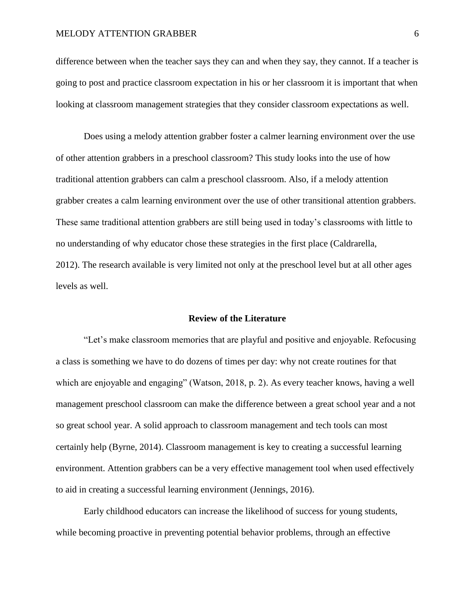difference between when the teacher says they can and when they say, they cannot. If a teacher is going to post and practice classroom expectation in his or her classroom it is important that when looking at classroom management strategies that they consider classroom expectations as well.

Does using a melody attention grabber foster a calmer learning environment over the use of other attention grabbers in a preschool classroom? This study looks into the use of how traditional attention grabbers can calm a preschool classroom. Also, if a melody attention grabber creates a calm learning environment over the use of other transitional attention grabbers. These same traditional attention grabbers are still being used in today's classrooms with little to no understanding of why educator chose these strategies in the first place (Caldrarella, 2012). The research available is very limited not only at the preschool level but at all other ages levels as well.

#### **Review of the Literature**

<span id="page-6-0"></span>"Let's make classroom memories that are playful and positive and enjoyable. Refocusing a class is something we have to do dozens of times per day: why not create routines for that which are enjoyable and engaging" (Watson, 2018, p. 2). As every teacher knows, having a well management preschool classroom can make the difference between a great school year and a not so great school year. A solid approach to classroom management and tech tools can most certainly help (Byrne, 2014). Classroom management is key to creating a successful learning environment. Attention grabbers can be a very effective management tool when used effectively to aid in creating a successful learning environment (Jennings, 2016).

Early childhood educators can increase the likelihood of success for young students, while becoming proactive in preventing potential behavior problems, through an effective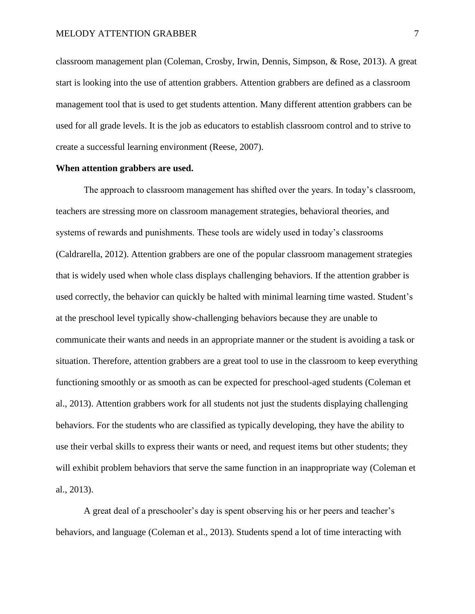classroom management plan (Coleman, Crosby, Irwin, Dennis, Simpson, & Rose, 2013). A great start is looking into the use of attention grabbers. Attention grabbers are defined as a classroom management tool that is used to get students attention. Many different attention grabbers can be used for all grade levels. It is the job as educators to establish classroom control and to strive to create a successful learning environment (Reese, 2007).

#### **When attention grabbers are used.**

The approach to classroom management has shifted over the years. In today's classroom, teachers are stressing more on classroom management strategies, behavioral theories, and systems of rewards and punishments. These tools are widely used in today's classrooms (Caldrarella, 2012). Attention grabbers are one of the popular classroom management strategies that is widely used when whole class displays challenging behaviors. If the attention grabber is used correctly, the behavior can quickly be halted with minimal learning time wasted. Student's at the preschool level typically show-challenging behaviors because they are unable to communicate their wants and needs in an appropriate manner or the student is avoiding a task or situation. Therefore, attention grabbers are a great tool to use in the classroom to keep everything functioning smoothly or as smooth as can be expected for preschool-aged students (Coleman et al., 2013). Attention grabbers work for all students not just the students displaying challenging behaviors. For the students who are classified as typically developing, they have the ability to use their verbal skills to express their wants or need, and request items but other students; they will exhibit problem behaviors that serve the same function in an inappropriate way (Coleman et al., 2013).

A great deal of a preschooler's day is spent observing his or her peers and teacher's behaviors, and language (Coleman et al., 2013). Students spend a lot of time interacting with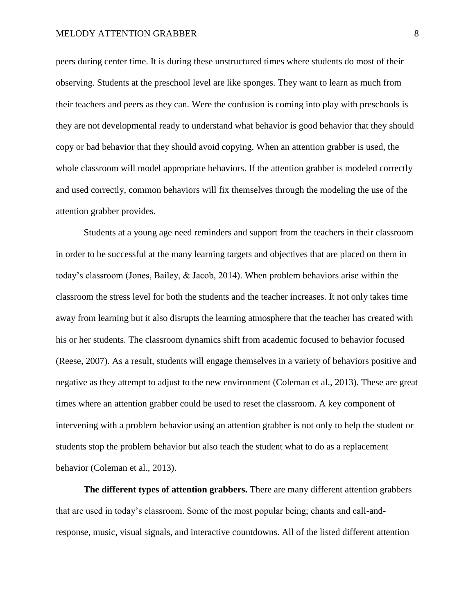peers during center time. It is during these unstructured times where students do most of their observing. Students at the preschool level are like sponges. They want to learn as much from their teachers and peers as they can. Were the confusion is coming into play with preschools is they are not developmental ready to understand what behavior is good behavior that they should copy or bad behavior that they should avoid copying. When an attention grabber is used, the whole classroom will model appropriate behaviors. If the attention grabber is modeled correctly and used correctly, common behaviors will fix themselves through the modeling the use of the attention grabber provides.

Students at a young age need reminders and support from the teachers in their classroom in order to be successful at the many learning targets and objectives that are placed on them in today's classroom (Jones, Bailey, & Jacob, 2014). When problem behaviors arise within the classroom the stress level for both the students and the teacher increases. It not only takes time away from learning but it also disrupts the learning atmosphere that the teacher has created with his or her students. The classroom dynamics shift from academic focused to behavior focused (Reese, 2007). As a result, students will engage themselves in a variety of behaviors positive and negative as they attempt to adjust to the new environment (Coleman et al., 2013). These are great times where an attention grabber could be used to reset the classroom. A key component of intervening with a problem behavior using an attention grabber is not only to help the student or students stop the problem behavior but also teach the student what to do as a replacement behavior (Coleman et al., 2013).

**The different types of attention grabbers.** There are many different attention grabbers that are used in today's classroom. Some of the most popular being; chants and call-andresponse, music, visual signals, and interactive countdowns. All of the listed different attention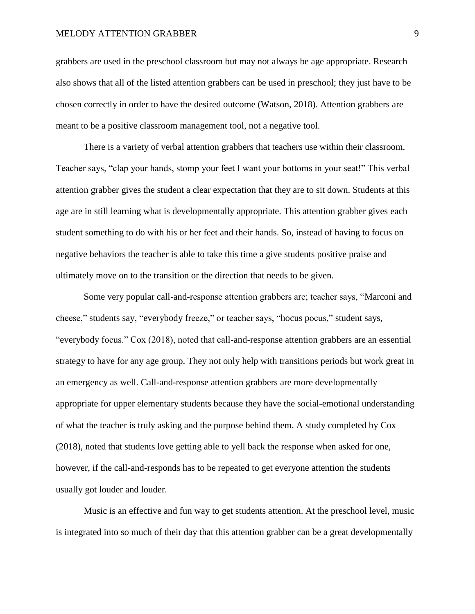grabbers are used in the preschool classroom but may not always be age appropriate. Research also shows that all of the listed attention grabbers can be used in preschool; they just have to be chosen correctly in order to have the desired outcome (Watson, 2018). Attention grabbers are meant to be a positive classroom management tool, not a negative tool.

There is a variety of verbal attention grabbers that teachers use within their classroom. Teacher says, "clap your hands, stomp your feet I want your bottoms in your seat!" This verbal attention grabber gives the student a clear expectation that they are to sit down. Students at this age are in still learning what is developmentally appropriate. This attention grabber gives each student something to do with his or her feet and their hands. So, instead of having to focus on negative behaviors the teacher is able to take this time a give students positive praise and ultimately move on to the transition or the direction that needs to be given.

Some very popular call-and-response attention grabbers are; teacher says, "Marconi and cheese," students say, "everybody freeze," or teacher says, "hocus pocus," student says, "everybody focus." Cox (2018), noted that call-and-response attention grabbers are an essential strategy to have for any age group. They not only help with transitions periods but work great in an emergency as well. Call-and-response attention grabbers are more developmentally appropriate for upper elementary students because they have the social-emotional understanding of what the teacher is truly asking and the purpose behind them. A study completed by Cox (2018), noted that students love getting able to yell back the response when asked for one, however, if the call-and-responds has to be repeated to get everyone attention the students usually got louder and louder.

Music is an effective and fun way to get students attention. At the preschool level, music is integrated into so much of their day that this attention grabber can be a great developmentally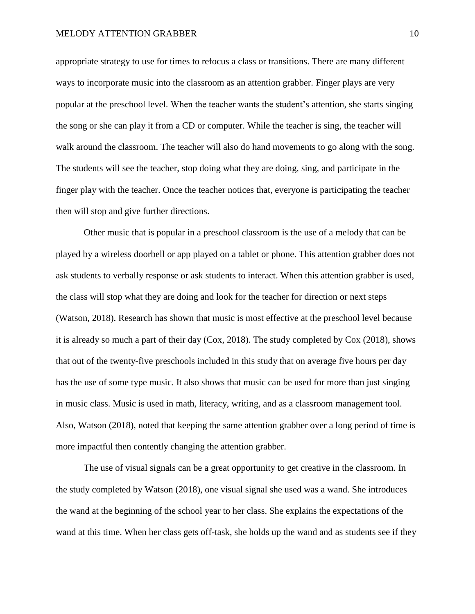appropriate strategy to use for times to refocus a class or transitions. There are many different ways to incorporate music into the classroom as an attention grabber. Finger plays are very popular at the preschool level. When the teacher wants the student's attention, she starts singing the song or she can play it from a CD or computer. While the teacher is sing, the teacher will walk around the classroom. The teacher will also do hand movements to go along with the song. The students will see the teacher, stop doing what they are doing, sing, and participate in the finger play with the teacher. Once the teacher notices that, everyone is participating the teacher then will stop and give further directions.

Other music that is popular in a preschool classroom is the use of a melody that can be played by a wireless doorbell or app played on a tablet or phone. This attention grabber does not ask students to verbally response or ask students to interact. When this attention grabber is used, the class will stop what they are doing and look for the teacher for direction or next steps (Watson, 2018). Research has shown that music is most effective at the preschool level because it is already so much a part of their day (Cox, 2018). The study completed by Cox (2018), shows that out of the twenty-five preschools included in this study that on average five hours per day has the use of some type music. It also shows that music can be used for more than just singing in music class. Music is used in math, literacy, writing, and as a classroom management tool. Also, Watson (2018), noted that keeping the same attention grabber over a long period of time is more impactful then contently changing the attention grabber.

The use of visual signals can be a great opportunity to get creative in the classroom. In the study completed by Watson (2018), one visual signal she used was a wand. She introduces the wand at the beginning of the school year to her class. She explains the expectations of the wand at this time. When her class gets off-task, she holds up the wand and as students see if they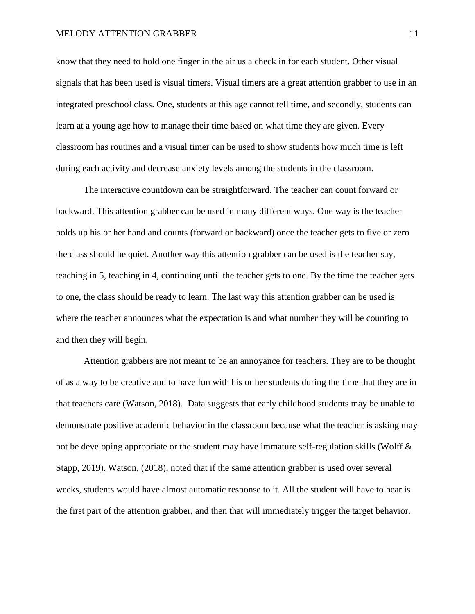know that they need to hold one finger in the air us a check in for each student. Other visual signals that has been used is visual timers. Visual timers are a great attention grabber to use in an integrated preschool class. One, students at this age cannot tell time, and secondly, students can learn at a young age how to manage their time based on what time they are given. Every classroom has routines and a visual timer can be used to show students how much time is left during each activity and decrease anxiety levels among the students in the classroom.

The interactive countdown can be straightforward. The teacher can count forward or backward. This attention grabber can be used in many different ways. One way is the teacher holds up his or her hand and counts (forward or backward) once the teacher gets to five or zero the class should be quiet. Another way this attention grabber can be used is the teacher say, teaching in 5, teaching in 4, continuing until the teacher gets to one. By the time the teacher gets to one, the class should be ready to learn. The last way this attention grabber can be used is where the teacher announces what the expectation is and what number they will be counting to and then they will begin.

Attention grabbers are not meant to be an annoyance for teachers. They are to be thought of as a way to be creative and to have fun with his or her students during the time that they are in that teachers care (Watson, 2018). Data suggests that early childhood students may be unable to demonstrate positive academic behavior in the classroom because what the teacher is asking may not be developing appropriate or the student may have immature self-regulation skills (Wolff & Stapp, 2019). Watson, (2018), noted that if the same attention grabber is used over several weeks, students would have almost automatic response to it. All the student will have to hear is the first part of the attention grabber, and then that will immediately trigger the target behavior.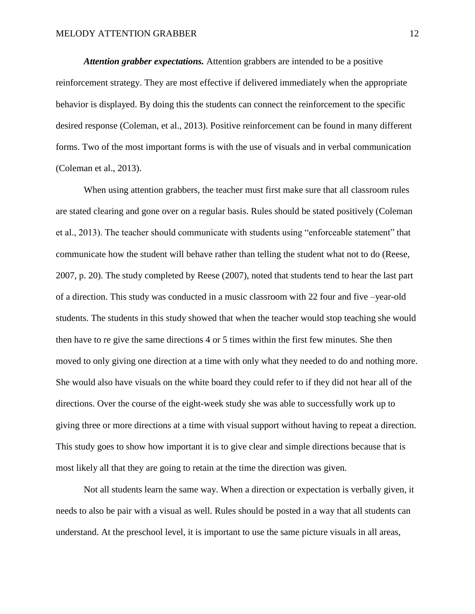*Attention grabber expectations.* Attention grabbers are intended to be a positive reinforcement strategy. They are most effective if delivered immediately when the appropriate behavior is displayed. By doing this the students can connect the reinforcement to the specific desired response (Coleman, et al., 2013). Positive reinforcement can be found in many different forms. Two of the most important forms is with the use of visuals and in verbal communication (Coleman et al., 2013).

When using attention grabbers, the teacher must first make sure that all classroom rules are stated clearing and gone over on a regular basis. Rules should be stated positively (Coleman et al., 2013). The teacher should communicate with students using "enforceable statement" that communicate how the student will behave rather than telling the student what not to do (Reese, 2007, p. 20). The study completed by Reese (2007), noted that students tend to hear the last part of a direction. This study was conducted in a music classroom with 22 four and five –year-old students. The students in this study showed that when the teacher would stop teaching she would then have to re give the same directions 4 or 5 times within the first few minutes. She then moved to only giving one direction at a time with only what they needed to do and nothing more. She would also have visuals on the white board they could refer to if they did not hear all of the directions. Over the course of the eight-week study she was able to successfully work up to giving three or more directions at a time with visual support without having to repeat a direction. This study goes to show how important it is to give clear and simple directions because that is most likely all that they are going to retain at the time the direction was given.

Not all students learn the same way. When a direction or expectation is verbally given, it needs to also be pair with a visual as well. Rules should be posted in a way that all students can understand. At the preschool level, it is important to use the same picture visuals in all areas,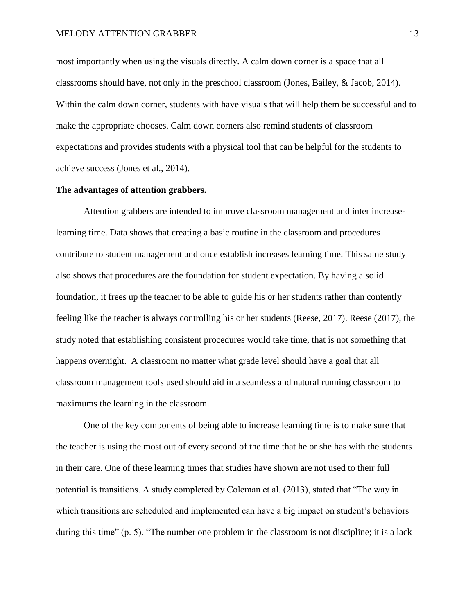most importantly when using the visuals directly. A calm down corner is a space that all classrooms should have, not only in the preschool classroom (Jones, Bailey, & Jacob, 2014). Within the calm down corner, students with have visuals that will help them be successful and to make the appropriate chooses. Calm down corners also remind students of classroom expectations and provides students with a physical tool that can be helpful for the students to achieve success (Jones et al., 2014).

#### **The advantages of attention grabbers.**

Attention grabbers are intended to improve classroom management and inter increaselearning time. Data shows that creating a basic routine in the classroom and procedures contribute to student management and once establish increases learning time. This same study also shows that procedures are the foundation for student expectation. By having a solid foundation, it frees up the teacher to be able to guide his or her students rather than contently feeling like the teacher is always controlling his or her students (Reese, 2017). Reese (2017), the study noted that establishing consistent procedures would take time, that is not something that happens overnight. A classroom no matter what grade level should have a goal that all classroom management tools used should aid in a seamless and natural running classroom to maximums the learning in the classroom.

One of the key components of being able to increase learning time is to make sure that the teacher is using the most out of every second of the time that he or she has with the students in their care. One of these learning times that studies have shown are not used to their full potential is transitions. A study completed by Coleman et al. (2013), stated that "The way in which transitions are scheduled and implemented can have a big impact on student's behaviors during this time" (p. 5). "The number one problem in the classroom is not discipline; it is a lack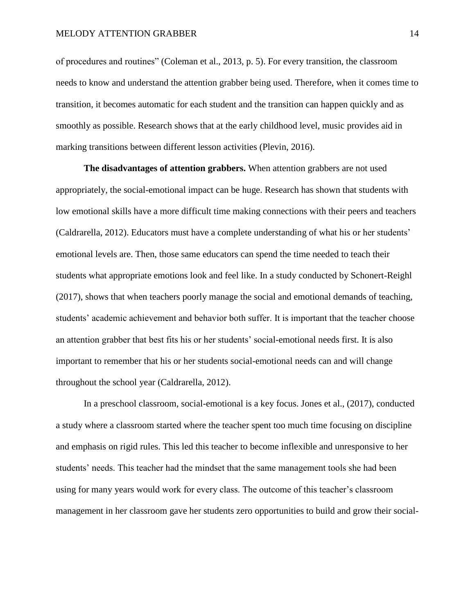of procedures and routines" (Coleman et al., 2013, p. 5). For every transition, the classroom needs to know and understand the attention grabber being used. Therefore, when it comes time to transition, it becomes automatic for each student and the transition can happen quickly and as smoothly as possible. Research shows that at the early childhood level, music provides aid in marking transitions between different lesson activities (Plevin, 2016).

**The disadvantages of attention grabbers.** When attention grabbers are not used appropriately, the social-emotional impact can be huge. Research has shown that students with low emotional skills have a more difficult time making connections with their peers and teachers (Caldrarella, 2012). Educators must have a complete understanding of what his or her students' emotional levels are. Then, those same educators can spend the time needed to teach their students what appropriate emotions look and feel like. In a study conducted by Schonert-Reighl (2017), shows that when teachers poorly manage the social and emotional demands of teaching, students' academic achievement and behavior both suffer. It is important that the teacher choose an attention grabber that best fits his or her students' social-emotional needs first. It is also important to remember that his or her students social-emotional needs can and will change throughout the school year (Caldrarella, 2012).

In a preschool classroom, social-emotional is a key focus. Jones et al., (2017), conducted a study where a classroom started where the teacher spent too much time focusing on discipline and emphasis on rigid rules. This led this teacher to become inflexible and unresponsive to her students' needs. This teacher had the mindset that the same management tools she had been using for many years would work for every class. The outcome of this teacher's classroom management in her classroom gave her students zero opportunities to build and grow their social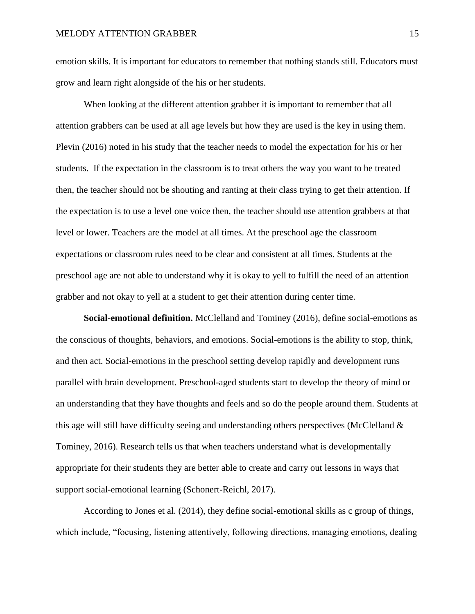emotion skills. It is important for educators to remember that nothing stands still. Educators must grow and learn right alongside of the his or her students.

When looking at the different attention grabber it is important to remember that all attention grabbers can be used at all age levels but how they are used is the key in using them. Plevin (2016) noted in his study that the teacher needs to model the expectation for his or her students. If the expectation in the classroom is to treat others the way you want to be treated then, the teacher should not be shouting and ranting at their class trying to get their attention. If the expectation is to use a level one voice then, the teacher should use attention grabbers at that level or lower. Teachers are the model at all times. At the preschool age the classroom expectations or classroom rules need to be clear and consistent at all times. Students at the preschool age are not able to understand why it is okay to yell to fulfill the need of an attention grabber and not okay to yell at a student to get their attention during center time.

**Social-emotional definition.** McClelland and Tominey (2016), define social-emotions as the conscious of thoughts, behaviors, and emotions. Social-emotions is the ability to stop, think, and then act. Social-emotions in the preschool setting develop rapidly and development runs parallel with brain development. Preschool-aged students start to develop the theory of mind or an understanding that they have thoughts and feels and so do the people around them. Students at this age will still have difficulty seeing and understanding others perspectives (McClelland & Tominey, 2016). Research tells us that when teachers understand what is developmentally appropriate for their students they are better able to create and carry out lessons in ways that support social-emotional learning (Schonert-Reichl, 2017).

According to Jones et al. (2014), they define social-emotional skills as c group of things, which include, "focusing, listening attentively, following directions, managing emotions, dealing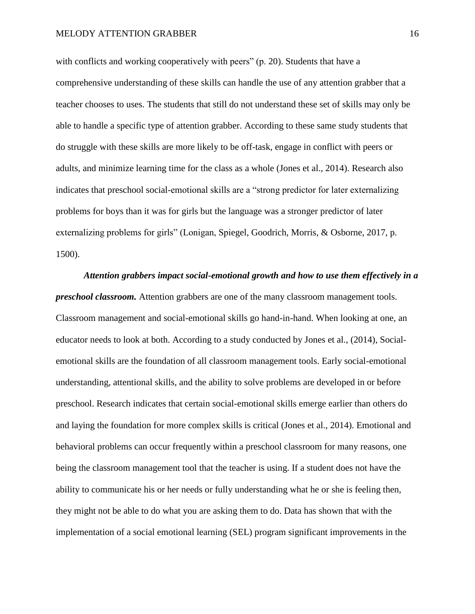with conflicts and working cooperatively with peers" (p. 20). Students that have a comprehensive understanding of these skills can handle the use of any attention grabber that a teacher chooses to uses. The students that still do not understand these set of skills may only be able to handle a specific type of attention grabber. According to these same study students that do struggle with these skills are more likely to be off-task, engage in conflict with peers or adults, and minimize learning time for the class as a whole (Jones et al., 2014). Research also indicates that preschool social-emotional skills are a "strong predictor for later externalizing problems for boys than it was for girls but the language was a stronger predictor of later externalizing problems for girls" (Lonigan, Spiegel, Goodrich, Morris, & Osborne, 2017, p. 1500).

*Attention grabbers impact social-emotional growth and how to use them effectively in a preschool classroom.* Attention grabbers are one of the many classroom management tools. Classroom management and social-emotional skills go hand-in-hand. When looking at one, an educator needs to look at both. According to a study conducted by Jones et al., (2014), Socialemotional skills are the foundation of all classroom management tools. Early social-emotional understanding, attentional skills, and the ability to solve problems are developed in or before preschool. Research indicates that certain social-emotional skills emerge earlier than others do and laying the foundation for more complex skills is critical (Jones et al., 2014). Emotional and behavioral problems can occur frequently within a preschool classroom for many reasons, one being the classroom management tool that the teacher is using. If a student does not have the ability to communicate his or her needs or fully understanding what he or she is feeling then, they might not be able to do what you are asking them to do. Data has shown that with the implementation of a social emotional learning (SEL) program significant improvements in the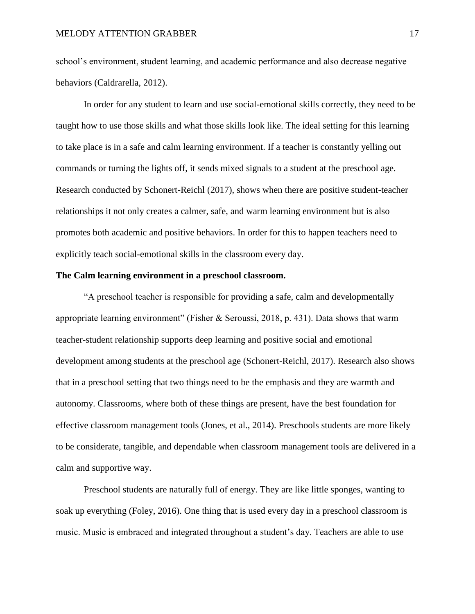school's environment, student learning, and academic performance and also decrease negative behaviors (Caldrarella, 2012).

In order for any student to learn and use social-emotional skills correctly, they need to be taught how to use those skills and what those skills look like. The ideal setting for this learning to take place is in a safe and calm learning environment. If a teacher is constantly yelling out commands or turning the lights off, it sends mixed signals to a student at the preschool age. Research conducted by Schonert-Reichl (2017), shows when there are positive student-teacher relationships it not only creates a calmer, safe, and warm learning environment but is also promotes both academic and positive behaviors. In order for this to happen teachers need to explicitly teach social-emotional skills in the classroom every day.

#### **The Calm learning environment in a preschool classroom.**

"A preschool teacher is responsible for providing a safe, calm and developmentally appropriate learning environment" (Fisher & Seroussi, 2018, p. 431). Data shows that warm teacher-student relationship supports deep learning and positive social and emotional development among students at the preschool age (Schonert-Reichl, 2017). Research also shows that in a preschool setting that two things need to be the emphasis and they are warmth and autonomy. Classrooms, where both of these things are present, have the best foundation for effective classroom management tools (Jones, et al., 2014). Preschools students are more likely to be considerate, tangible, and dependable when classroom management tools are delivered in a calm and supportive way.

Preschool students are naturally full of energy. They are like little sponges, wanting to soak up everything (Foley, 2016). One thing that is used every day in a preschool classroom is music. Music is embraced and integrated throughout a student's day. Teachers are able to use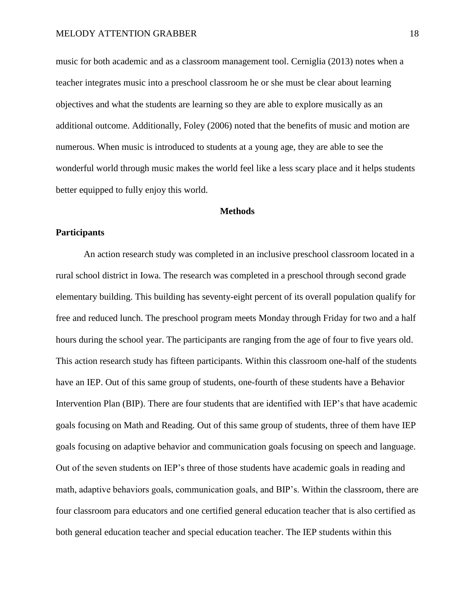music for both academic and as a classroom management tool. Cerniglia (2013) notes when a teacher integrates music into a preschool classroom he or she must be clear about learning objectives and what the students are learning so they are able to explore musically as an additional outcome. Additionally, Foley (2006) noted that the benefits of music and motion are numerous. When music is introduced to students at a young age, they are able to see the wonderful world through music makes the world feel like a less scary place and it helps students better equipped to fully enjoy this world.

#### **Methods**

#### <span id="page-18-1"></span><span id="page-18-0"></span>**Participants**

An action research study was completed in an inclusive preschool classroom located in a rural school district in Iowa. The research was completed in a preschool through second grade elementary building. This building has seventy-eight percent of its overall population qualify for free and reduced lunch. The preschool program meets Monday through Friday for two and a half hours during the school year. The participants are ranging from the age of four to five years old. This action research study has fifteen participants. Within this classroom one-half of the students have an IEP. Out of this same group of students, one-fourth of these students have a Behavior Intervention Plan (BIP). There are four students that are identified with IEP's that have academic goals focusing on Math and Reading. Out of this same group of students, three of them have IEP goals focusing on adaptive behavior and communication goals focusing on speech and language. Out of the seven students on IEP's three of those students have academic goals in reading and math, adaptive behaviors goals, communication goals, and BIP's. Within the classroom, there are four classroom para educators and one certified general education teacher that is also certified as both general education teacher and special education teacher. The IEP students within this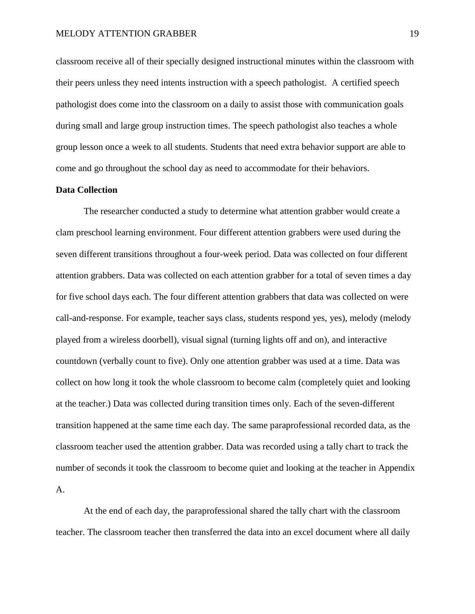classroom receive all of their specially designed instructional minutes within the classroom with their peers unless they need intents instruction with a speech pathologist. A certified speech pathologist does come into the classroom on a daily to assist those with communication goals during small and large group instruction times. The speech pathologist also teaches a whole group lesson once a week to all students. Students that need extra behavior support are able to come and go throughout the school day as need to accommodate for their behaviors.

## <span id="page-19-0"></span>**Data Collection**

The researcher conducted a study to determine what attention grabber would create a clam preschool learning environment. Four different attention grabbers were used during the seven different transitions throughout a four-week period. Data was collected on four different attention grabbers. Data was collected on each attention grabber for a total of seven times a day for five school days each. The four different attention grabbers that data was collected on were call-and-response. For example, teacher says class, students respond yes, yes), melody (melody played from a wireless doorbell), visual signal (turning lights off and on), and interactive countdown (verbally count to five). Only one attention grabber was used at a time. Data was collect on how long it took the whole classroom to become calm (completely quiet and looking at the teacher.) Data was collected during transition times only. Each of the seven-different transition happened at the same time each day. The same paraprofessional recorded data, as the classroom teacher used the attention grabber. Data was recorded using a tally chart to track the number of seconds it took the classroom to become quiet and looking at the teacher in Appendix A.

At the end of each day, the paraprofessional shared the tally chart with the classroom teacher. The classroom teacher then transferred the data into an excel document where all daily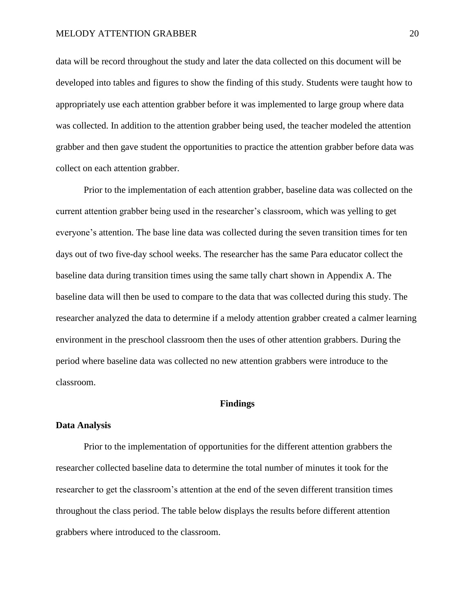data will be record throughout the study and later the data collected on this document will be developed into tables and figures to show the finding of this study. Students were taught how to appropriately use each attention grabber before it was implemented to large group where data was collected. In addition to the attention grabber being used, the teacher modeled the attention grabber and then gave student the opportunities to practice the attention grabber before data was collect on each attention grabber.

Prior to the implementation of each attention grabber, baseline data was collected on the current attention grabber being used in the researcher's classroom, which was yelling to get everyone's attention. The base line data was collected during the seven transition times for ten days out of two five-day school weeks. The researcher has the same Para educator collect the baseline data during transition times using the same tally chart shown in Appendix A. The baseline data will then be used to compare to the data that was collected during this study. The researcher analyzed the data to determine if a melody attention grabber created a calmer learning environment in the preschool classroom then the uses of other attention grabbers. During the period where baseline data was collected no new attention grabbers were introduce to the classroom.

#### **Findings**

#### <span id="page-20-1"></span><span id="page-20-0"></span>**Data Analysis**

Prior to the implementation of opportunities for the different attention grabbers the researcher collected baseline data to determine the total number of minutes it took for the researcher to get the classroom's attention at the end of the seven different transition times throughout the class period. The table below displays the results before different attention grabbers where introduced to the classroom.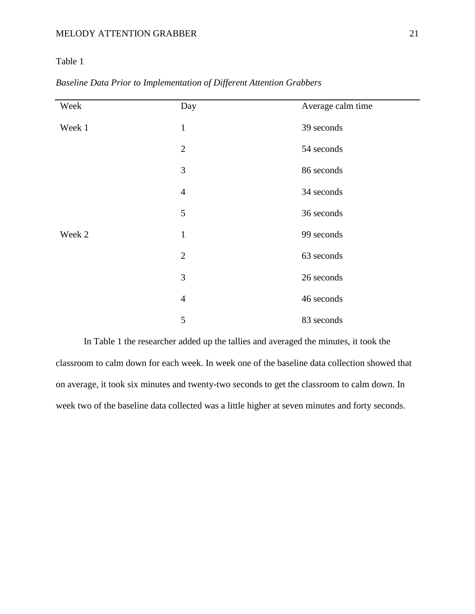# Table 1

| Week   | Day            | Average calm time |
|--------|----------------|-------------------|
| Week 1 | $\mathbf{1}$   | 39 seconds        |
|        | $\overline{2}$ | 54 seconds        |
|        | $\mathfrak{Z}$ | 86 seconds        |
|        | $\overline{4}$ | 34 seconds        |
|        | 5              | 36 seconds        |
| Week 2 | $\mathbf{1}$   | 99 seconds        |
|        | $\mathbf{2}$   | 63 seconds        |
|        | 3              | 26 seconds        |
|        | $\overline{4}$ | 46 seconds        |
|        | 5              | 83 seconds        |

*Baseline Data Prior to Implementation of Different Attention Grabbers*

In Table 1 the researcher added up the tallies and averaged the minutes, it took the classroom to calm down for each week. In week one of the baseline data collection showed that on average, it took six minutes and twenty-two seconds to get the classroom to calm down. In week two of the baseline data collected was a little higher at seven minutes and forty seconds.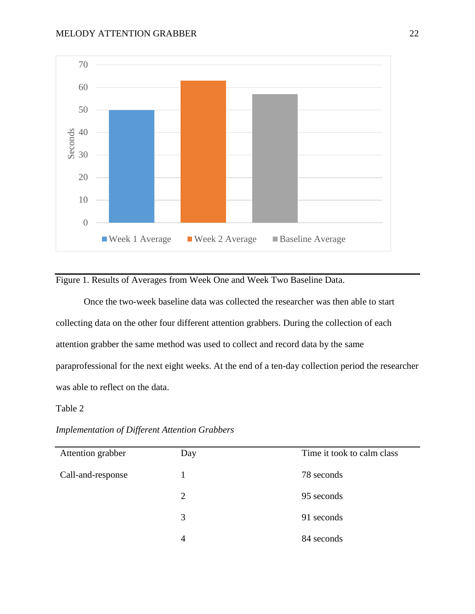

Figure 1. Results of Averages from Week One and Week Two Baseline Data.

Once the two-week baseline data was collected the researcher was then able to start collecting data on the other four different attention grabbers. During the collection of each attention grabber the same method was used to collect and record data by the same paraprofessional for the next eight weeks. At the end of a ten-day collection period the researcher was able to reflect on the data.

## Table 2

*Implementation of Different Attention Grabbers*

| Attention grabber | Day | Time it took to calm class |
|-------------------|-----|----------------------------|
| Call-and-response |     | 78 seconds                 |
|                   | 2   | 95 seconds                 |
|                   | 3   | 91 seconds                 |
|                   | 4   | 84 seconds                 |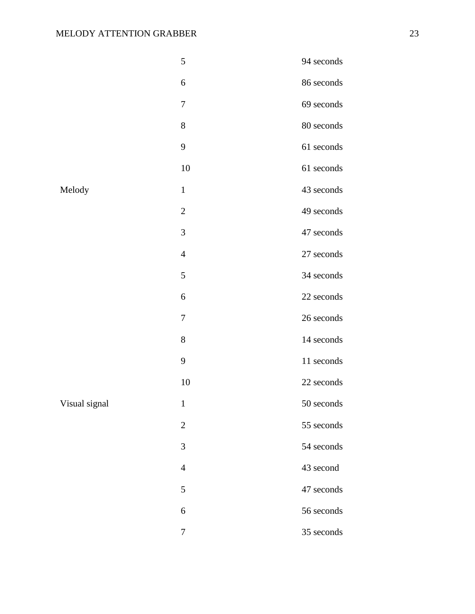|               | 5                | 94 seconds |
|---------------|------------------|------------|
|               | 6                | 86 seconds |
|               | $\tau$           | 69 seconds |
|               | 8                | 80 seconds |
|               | 9                | 61 seconds |
|               | 10               | 61 seconds |
| Melody        | $\mathbf{1}$     | 43 seconds |
|               | $\mathbf{2}$     | 49 seconds |
|               | 3                | 47 seconds |
|               | $\overline{4}$   | 27 seconds |
|               | 5                | 34 seconds |
|               | 6                | 22 seconds |
|               | $\tau$           | 26 seconds |
|               | $8\,$            | 14 seconds |
|               | 9                | 11 seconds |
|               | 10               | 22 seconds |
| Visual signal | $\mathbf{1}$     | 50 seconds |
|               | $\boldsymbol{2}$ | 55 seconds |
|               | $\mathfrak{Z}$   | 54 seconds |
|               | $\overline{4}$   | 43 second  |
|               | $\mathfrak{S}$   | 47 seconds |
|               | 6                | 56 seconds |
|               | $\boldsymbol{7}$ | 35 seconds |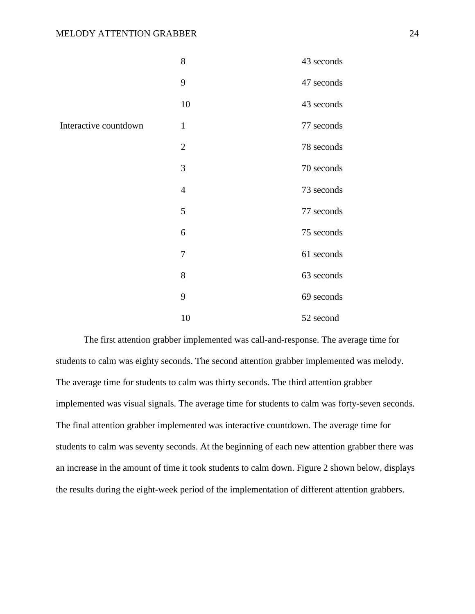|                       | 8              | 43 seconds |
|-----------------------|----------------|------------|
|                       | 9              | 47 seconds |
|                       | 10             | 43 seconds |
| Interactive countdown | $\mathbf{1}$   | 77 seconds |
|                       | $\overline{2}$ | 78 seconds |
|                       | 3              | 70 seconds |
|                       | $\overline{4}$ | 73 seconds |
|                       | 5              | 77 seconds |
|                       | 6              | 75 seconds |
|                       | 7              | 61 seconds |
|                       | 8              | 63 seconds |
|                       | 9              | 69 seconds |
|                       | 10             | 52 second  |

The first attention grabber implemented was call-and-response. The average time for students to calm was eighty seconds. The second attention grabber implemented was melody. The average time for students to calm was thirty seconds. The third attention grabber implemented was visual signals. The average time for students to calm was forty-seven seconds. The final attention grabber implemented was interactive countdown. The average time for students to calm was seventy seconds. At the beginning of each new attention grabber there was an increase in the amount of time it took students to calm down. Figure 2 shown below, displays the results during the eight-week period of the implementation of different attention grabbers.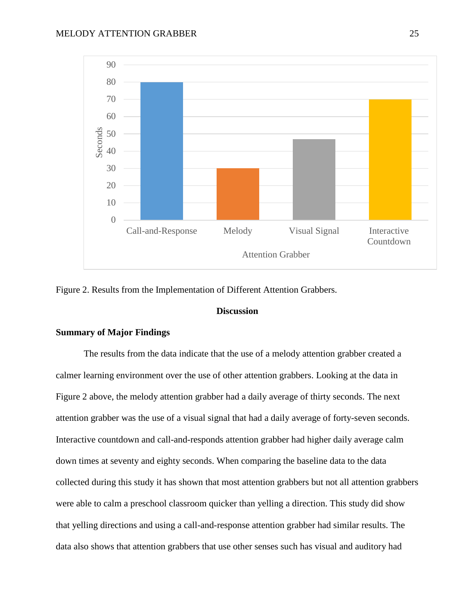

<span id="page-25-0"></span>Figure 2. Results from the Implementation of Different Attention Grabbers.

#### **Discussion**

# **Summary of Major Findings**

The results from the data indicate that the use of a melody attention grabber created a calmer learning environment over the use of other attention grabbers. Looking at the data in Figure 2 above, the melody attention grabber had a daily average of thirty seconds. The next attention grabber was the use of a visual signal that had a daily average of forty-seven seconds. Interactive countdown and call-and-responds attention grabber had higher daily average calm down times at seventy and eighty seconds. When comparing the baseline data to the data collected during this study it has shown that most attention grabbers but not all attention grabbers were able to calm a preschool classroom quicker than yelling a direction. This study did show that yelling directions and using a call-and-response attention grabber had similar results. The data also shows that attention grabbers that use other senses such has visual and auditory had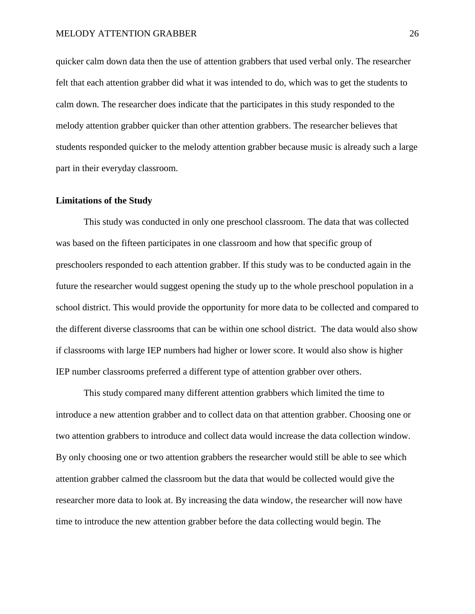quicker calm down data then the use of attention grabbers that used verbal only. The researcher felt that each attention grabber did what it was intended to do, which was to get the students to calm down. The researcher does indicate that the participates in this study responded to the melody attention grabber quicker than other attention grabbers. The researcher believes that students responded quicker to the melody attention grabber because music is already such a large part in their everyday classroom.

#### **Limitations of the Study**

This study was conducted in only one preschool classroom. The data that was collected was based on the fifteen participates in one classroom and how that specific group of preschoolers responded to each attention grabber. If this study was to be conducted again in the future the researcher would suggest opening the study up to the whole preschool population in a school district. This would provide the opportunity for more data to be collected and compared to the different diverse classrooms that can be within one school district. The data would also show if classrooms with large IEP numbers had higher or lower score. It would also show is higher IEP number classrooms preferred a different type of attention grabber over others.

This study compared many different attention grabbers which limited the time to introduce a new attention grabber and to collect data on that attention grabber. Choosing one or two attention grabbers to introduce and collect data would increase the data collection window. By only choosing one or two attention grabbers the researcher would still be able to see which attention grabber calmed the classroom but the data that would be collected would give the researcher more data to look at. By increasing the data window, the researcher will now have time to introduce the new attention grabber before the data collecting would begin. The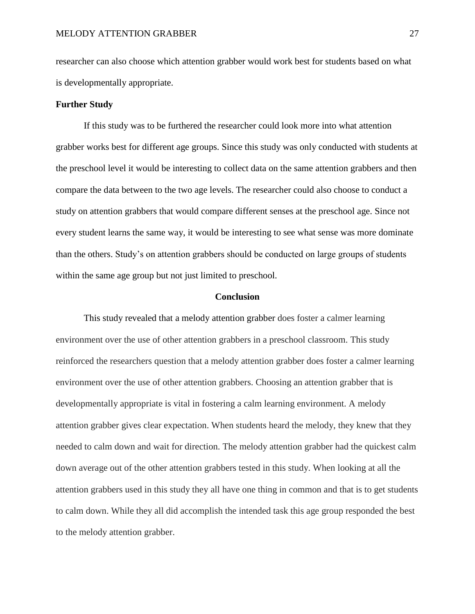researcher can also choose which attention grabber would work best for students based on what is developmentally appropriate.

#### **Further Study**

If this study was to be furthered the researcher could look more into what attention grabber works best for different age groups. Since this study was only conducted with students at the preschool level it would be interesting to collect data on the same attention grabbers and then compare the data between to the two age levels. The researcher could also choose to conduct a study on attention grabbers that would compare different senses at the preschool age. Since not every student learns the same way, it would be interesting to see what sense was more dominate than the others. Study's on attention grabbers should be conducted on large groups of students within the same age group but not just limited to preschool.

#### **Conclusion**

<span id="page-27-0"></span>This study revealed that a melody attention grabber does foster a calmer learning environment over the use of other attention grabbers in a preschool classroom. This study reinforced the researchers question that a melody attention grabber does foster a calmer learning environment over the use of other attention grabbers. Choosing an attention grabber that is developmentally appropriate is vital in fostering a calm learning environment. A melody attention grabber gives clear expectation. When students heard the melody, they knew that they needed to calm down and wait for direction. The melody attention grabber had the quickest calm down average out of the other attention grabbers tested in this study. When looking at all the attention grabbers used in this study they all have one thing in common and that is to get students to calm down. While they all did accomplish the intended task this age group responded the best to the melody attention grabber.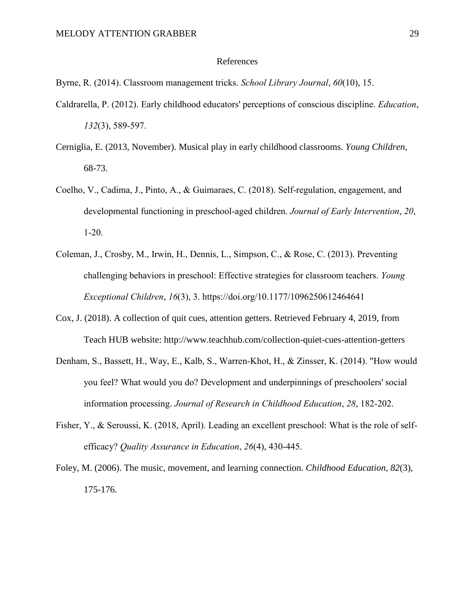#### References

<span id="page-29-0"></span>Byrne, R. (2014). Classroom management tricks. *School Library Journal*, *60*(10), 15.

- Caldrarella, P. (2012). Early childhood educators' perceptions of conscious discipline. *Education*, *132*(3), 589-597.
- Cerniglia, E. (2013, November). Musical play in early childhood classrooms. *Young Children*, 68-73.
- Coelho, V., Cadima, J., Pinto, A., & Guimaraes, C. (2018). Self-regulation, engagement, and developmental functioning in preschool-aged children. *Journal of Early Intervention*, *20*, 1-20.
- Coleman, J., Crosby, M., Irwin, H., Dennis, L., Simpson, C., & Rose, C. (2013). Preventing challenging behaviors in preschool: Effective strategies for classroom teachers. *Young Exceptional Children*, *16*(3), 3. https://doi.org/10.1177/1096250612464641
- Cox, J. (2018). A collection of quit cues, attention getters. Retrieved February 4, 2019, from Teach HUB website: http://www.teachhub.com/collection-quiet-cues-attention-getters
- Denham, S., Bassett, H., Way, E., Kalb, S., Warren-Khot, H., & Zinsser, K. (2014). "How would you feel? What would you do? Development and underpinnings of preschoolers' social information processing. *Journal of Research in Childhood Education*, *28*, 182-202.
- Fisher, Y., & Seroussi, K. (2018, April). Leading an excellent preschool: What is the role of selfefficacy? *Quality Assurance in Education*, *26*(4), 430-445.
- Foley, M. (2006). The music, movement, and learning connection. *Childhood Education*, *82*(3), 175-176.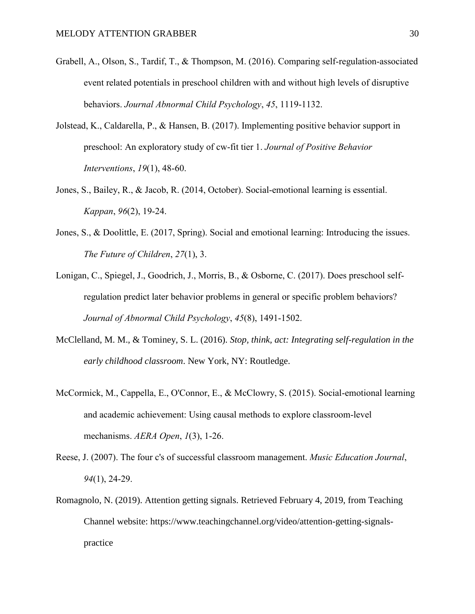- Grabell, A., Olson, S., Tardif, T., & Thompson, M. (2016). Comparing self-regulation-associated event related potentials in preschool children with and without high levels of disruptive behaviors. *Journal Abnormal Child Psychology*, *45*, 1119-1132.
- Jolstead, K., Caldarella, P., & Hansen, B. (2017). Implementing positive behavior support in preschool: An exploratory study of cw-fit tier 1. *Journal of Positive Behavior Interventions*, *19*(1), 48-60.
- Jones, S., Bailey, R., & Jacob, R. (2014, October). Social-emotional learning is essential. *Kappan*, *96*(2), 19-24.
- Jones, S., & Doolittle, E. (2017, Spring). Social and emotional learning: Introducing the issues. *The Future of Children*, *27*(1), 3.
- Lonigan, C., Spiegel, J., Goodrich, J., Morris, B., & Osborne, C. (2017). Does preschool selfregulation predict later behavior problems in general or specific problem behaviors? *Journal of Abnormal Child Psychology*, *45*(8), 1491-1502.
- McClelland, M. M., & Tominey, S. L. (2016). *Stop, think, act: Integrating self-regulation in the early childhood classroom*. New York, NY: Routledge.
- McCormick, M., Cappella, E., O'Connor, E., & McClowry, S. (2015). Social-emotional learning and academic achievement: Using causal methods to explore classroom-level mechanisms. *AERA Open*, *1*(3), 1-26.
- Reese, J. (2007). The four c's of successful classroom management. *Music Education Journal*, *94*(1), 24-29.
- Romagnolo, N. (2019). Attention getting signals. Retrieved February 4, 2019, from Teaching Channel website: https://www.teachingchannel.org/video/attention-getting-signalspractice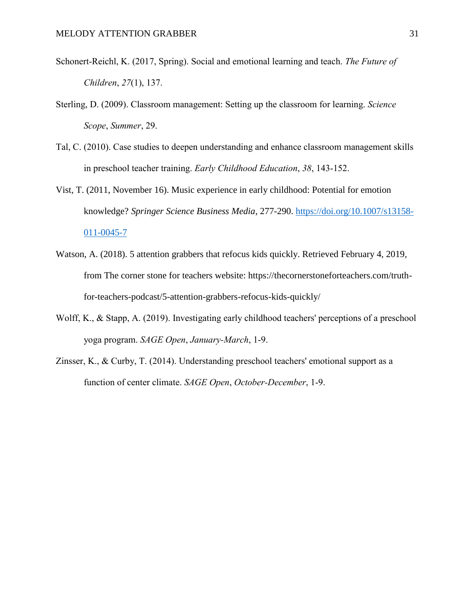- Schonert-Reichl, K. (2017, Spring). Social and emotional learning and teach. *The Future of Children*, *27*(1), 137.
- Sterling, D. (2009). Classroom management: Setting up the classroom for learning. *Science Scope*, *Summer*, 29.
- Tal, C. (2010). Case studies to deepen understanding and enhance classroom management skills in preschool teacher training. *Early Childhood Education*, *38*, 143-152.
- Vist, T. (2011, November 16). Music experience in early childhood: Potential for emotion knowledge? *Springer Science Business Media*, 277-290. [https://doi.org/10.1007/s13158-](https://doi.org/10.1007/s13158-011-0045-7) [011-0045-7](https://doi.org/10.1007/s13158-011-0045-7)
- Watson, A. (2018). 5 attention grabbers that refocus kids quickly. Retrieved February 4, 2019, from The corner stone for teachers website: https://thecornerstoneforteachers.com/truthfor-teachers-podcast/5-attention-grabbers-refocus-kids-quickly/
- Wolff, K., & Stapp, A. (2019). Investigating early childhood teachers' perceptions of a preschool yoga program. *SAGE Open*, *January-March*, 1-9.
- Zinsser, K., & Curby, T. (2014). Understanding preschool teachers' emotional support as a function of center climate. *SAGE Open*, *October-December*, 1-9.